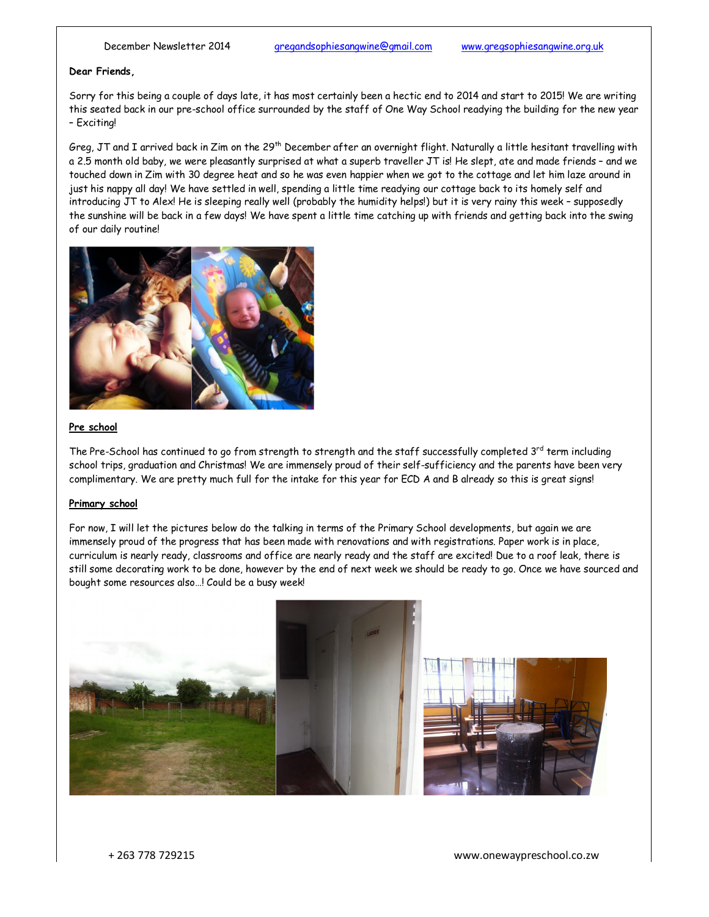# **Dear Friends,**

Sorry for this being a couple of days late, it has most certainly been a hectic end to 2014 and start to 2015! We are writing this seated back in our pre-school office surrounded by the staff of One Way School readying the building for the new year – Exciting!

Greg, JT and I arrived back in Zim on the 29<sup>th</sup> December after an overnight flight. Naturally a little hesitant travelling with a 2.5 month old baby, we were pleasantly surprised at what a superb traveller JT is! He slept, ate and made friends – and we touched down in Zim with 30 degree heat and so he was even happier when we got to the cottage and let him laze around in just his nappy all day! We have settled in well, spending a little time readying our cottage back to its homely self and introducing JT to Alex! He is sleeping really well (probably the humidity helps!) but it is very rainy this week – supposedly the sunshine will be back in a few days! We have spent a little time catching up with friends and getting back into the swing of our daily routine!



# **Pre school**

The Pre-School has continued to go from strength to strength and the staff successfully completed  $3^{rd}$  term including school trips, graduation and Christmas! We are immensely proud of their self-sufficiency and the parents have been very complimentary. We are pretty much full for the intake for this year for ECD A and B already so this is great signs!

### **Primary school**

For now, I will let the pictures below do the talking in terms of the Primary School developments, but again we are immensely proud of the progress that has been made with renovations and with registrations. Paper work is in place, curriculum is nearly ready, classrooms and office are nearly ready and the staff are excited! Due to a roof leak, there is still some decorating work to be done, however by the end of next week we should be ready to go. Once we have sourced and bought some resources also…! Could be a busy week!